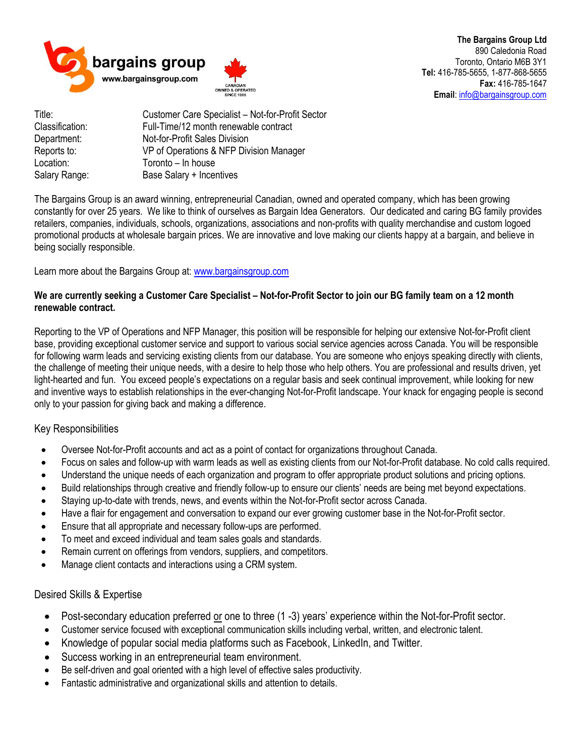

**The Bargains Group Ltd** 890 Caledonia Road Toronto, Ontario M6B 3Y1 **Tel:** 416-785-5655, 1-877-868-5655 **Fax:** 416-785-1647 **Email**[: info@bargainsgroup.com](mailto:info@bargainsgroup.com)

Title: Customer Care Specialist – Not-for-Profit Sector Classification: Full-Time/12 month renewable contract Department: Not-for-Profit Sales Division Reports to: VP of Operations & NFP Division Manager Location: Toronto – In house<br>Salary Range: Base Salary + Incer Base Salary + Incentives

The Bargains Group is an award winning, entrepreneurial Canadian, owned and operated company, which has been growing constantly for over 25 years. We like to think of ourselves as Bargain Idea Generators. Our dedicated and caring BG family provides retailers, companies, individuals, schools, organizations, associations and non-profits with quality merchandise and custom logoed promotional products at wholesale bargain prices. We are innovative and love making our clients happy at a bargain, and believe in being socially responsible.

Learn more about the Bargains Group at: [www.bargainsgroup.com](http://www.bargainsgroup.com/)

## **We are currently seeking a Customer Care Specialist – Not-for-Profit Sector to join our BG family team on a 12 month renewable contract.**

Reporting to the VP of Operations and NFP Manager, this position will be responsible for helping our extensive Not-for-Profit client base, providing exceptional customer service and support to various social service agencies across Canada. You will be responsible for following warm leads and servicing existing clients from our database. You are someone who enjoys speaking directly with clients, the challenge of meeting their unique needs, with a desire to help those who help others. You are professional and results driven, yet light-hearted and fun. You exceed people's expectations on a regular basis and seek continual improvement, while looking for new and inventive ways to establish relationships in the ever-changing Not-for-Profit landscape. Your knack for engaging people is second only to your passion for giving back and making a difference.

## Key Responsibilities

- Oversee Not-for-Profit accounts and act as a point of contact for organizations throughout Canada.
- Focus on sales and follow-up with warm leads as well as existing clients from our Not-for-Profit database. No cold calls required.
- Understand the unique needs of each organization and program to offer appropriate product solutions and pricing options.
- Build relationships through creative and friendly follow-up to ensure our clients' needs are being met beyond expectations.
- Staying up-to-date with trends, news, and events within the Not-for-Profit sector across Canada.
- Have a flair for engagement and conversation to expand our ever growing customer base in the Not-for-Profit sector.
- Ensure that all appropriate and necessary follow-ups are performed.
- To meet and exceed individual and team sales goals and standards.
- Remain current on offerings from vendors, suppliers, and competitors.
- Manage client contacts and interactions using a CRM system.

## Desired Skills & Expertise

- Post-secondary education preferred or one to three (1 -3) years' experience within the Not-for-Profit sector.
- Customer service focused with exceptional communication skills including verbal, written, and electronic talent.
- Knowledge of popular social media platforms such as Facebook, LinkedIn, and Twitter.
- Success working in an entrepreneurial team environment.
- Be self-driven and goal oriented with a high level of effective sales productivity.
- Fantastic administrative and organizational skills and attention to details.